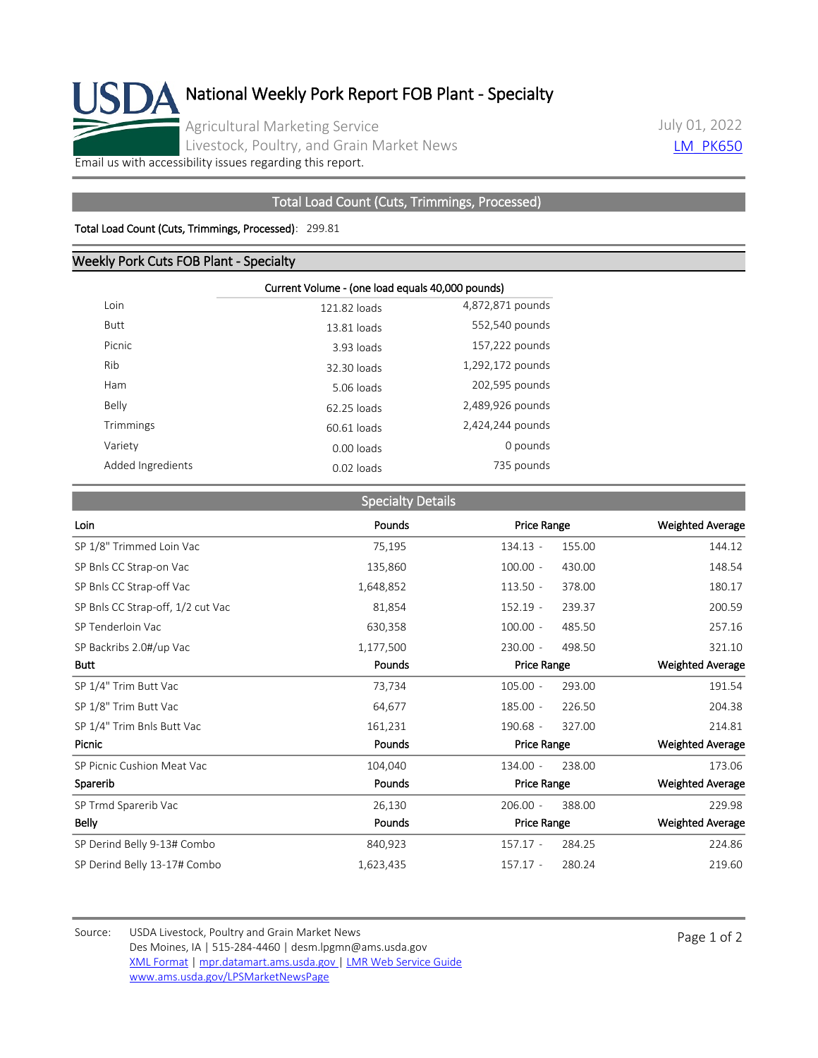

July 01, 2022 **[LM\\_PK650](https://mpr.datamart.ams.usda.gov/ws/report/v1/pork/LM_PK650?filter=%7B%22filters%22:%5B%7B%22fieldName%22:%22Report%20date%22,%22operatorType%22:%22EQUAL%22,%22values%22:%5B%227/5/2022%22%5D%7D%5D%7D)** 

[Email us with accessibility issues regarding this report.](mailto:mpr.lpgmn@ams.usda.gov?subject=508%20Issue)

## Total Load Count (Cuts, Trimmings, Processed)

## Total Load Count (Cuts, Trimmings, Processed): 299.81

## Weekly Pork Cuts FOB Plant - Specialty

|                   | Current Volume - (one load equals 40,000 pounds) |                  |  |  |
|-------------------|--------------------------------------------------|------------------|--|--|
| Loin              | 121.82 loads                                     | 4,872,871 pounds |  |  |
| <b>Butt</b>       | 13.81 loads                                      | 552,540 pounds   |  |  |
| Picnic            | 3.93 loads                                       | 157,222 pounds   |  |  |
| Rib               | 32.30 loads                                      | 1,292,172 pounds |  |  |
| Ham               | 5.06 loads                                       | 202,595 pounds   |  |  |
| Belly             | 62.25 loads                                      | 2,489,926 pounds |  |  |
| Trimmings         | 60.61 loads                                      | 2,424,244 pounds |  |  |
| Variety           | 0.00 loads                                       | 0 pounds         |  |  |
| Added Ingredients | $0.02$ loads                                     | 735 pounds       |  |  |

|                                   | <b>Specialty Details</b> |                      |                         |
|-----------------------------------|--------------------------|----------------------|-------------------------|
| Loin                              | Pounds                   | <b>Price Range</b>   | <b>Weighted Average</b> |
| SP 1/8" Trimmed Loin Vac          | 75,195                   | 134.13 -<br>155.00   | 144.12                  |
| SP Bnls CC Strap-on Vac           | 135,860                  | $100.00 -$<br>430.00 | 148.54                  |
| SP Bnls CC Strap-off Vac          | 1,648,852                | $113.50 -$<br>378.00 | 180.17                  |
| SP Bnls CC Strap-off, 1/2 cut Vac | 81,854                   | $152.19 -$<br>239.37 | 200.59                  |
| SP Tenderloin Vac                 | 630,358                  | $100.00 -$<br>485.50 | 257.16                  |
| SP Backribs 2.0#/up Vac           | 1,177,500                | $230.00 -$<br>498.50 | 321.10                  |
| <b>Butt</b>                       | Pounds                   | <b>Price Range</b>   | <b>Weighted Average</b> |
| SP 1/4" Trim Butt Vac             | 73,734                   | $105.00 -$<br>293.00 | 191.54                  |
| SP 1/8" Trim Butt Vac             | 64,677                   | 185.00 -<br>226.50   | 204.38                  |
| SP 1/4" Trim Bnls Butt Vac        | 161,231                  | 190.68 -<br>327.00   | 214.81                  |
| Picnic                            | Pounds                   | <b>Price Range</b>   | <b>Weighted Average</b> |
| SP Picnic Cushion Meat Vac        | 104,040                  | 238.00<br>134.00 -   | 173.06                  |
| Sparerib                          | Pounds                   | Price Range          | Weighted Average        |
| SP Trmd Sparerib Vac              | 26,130                   | $206.00 -$<br>388.00 | 229.98                  |
| Belly                             | Pounds                   | <b>Price Range</b>   | Weighted Average        |
| SP Derind Belly 9-13# Combo       | 840,923                  | $157.17 -$<br>284.25 | 224.86                  |
| SP Derind Belly 13-17# Combo      | 1,623,435                | $157.17 -$<br>280.24 | 219.60                  |

Source: USDA Livestock, Poultry and Grain Market News<br>
Page 1 of 2 Des Moines, IA | 515-284-4460 | desm.lpgmn@ams.usda.gov [XML Format](https://mpr.datamart.ams.usda.gov/ws/report/v1/pork/LM_PK650?filter=%7B%22filters%22:%5B%7B%22fieldName%22:%22Report%20date%22,%22operatorType%22:%22EQUAL%22,%22values%22:%5B%227/1/2022%22%5D%7D%5D%7D) | [mpr.datamart.ams.usda.gov](https://mpr.datamart.ams.usda.gov/) | [LMR Web Service Guide](https://www.marketnews.usda.gov/mnp/assets/ls/USDA-LMR-WebService-Client-User-Guide-v1_prod.pdf) [www.ams.usda.gov/LPSMarketNewsPage](https://www.ams.usda.gov/LPSMarketNewsPage)